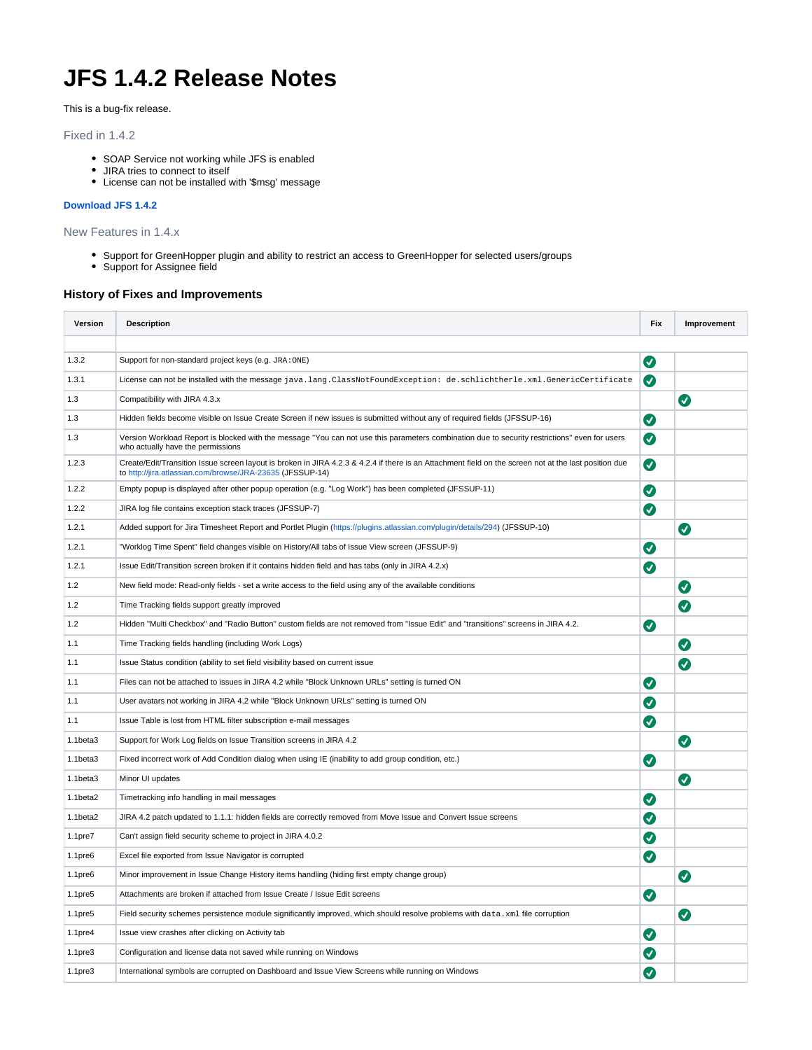## **JFS 1.4.2 Release Notes**

This is a bug-fix release.

## Fixed in 1.4.2

- SOAP Service not working while JFS is enabled
- JIRA tries to connect to itself
- License can not be installed with '\$msg' message

## **[Download JFS 1.4.2](http://www.quisapps.com/download)**

New Features in 1.4.x

- Support for GreenHopper plugin and ability to restrict an access to GreenHopper for selected users/groups
- Support for Assignee field

## **History of Fixes and Improvements**

| Version             | <b>Description</b>                                                                                                                                                                                                 | <b>Fix</b>         | Improvement |
|---------------------|--------------------------------------------------------------------------------------------------------------------------------------------------------------------------------------------------------------------|--------------------|-------------|
|                     |                                                                                                                                                                                                                    |                    |             |
| 1.3.2               | Support for non-standard project keys (e.g. JRA: ONE)                                                                                                                                                              | Ø                  |             |
| 1.3.1               | License can not be installed with the message java.lang.ClassNotFoundException: de.schlichtherle.xml.GenericCertificate                                                                                            | Ø                  |             |
| 1.3                 | Compatibility with JIRA 4.3.x                                                                                                                                                                                      |                    | Ø           |
| 1.3                 | Hidden fields become visible on Issue Create Screen if new issues is submitted without any of required fields (JFSSUP-16)                                                                                          | Ø                  |             |
| 1.3                 | Version Workload Report is blocked with the message "You can not use this parameters combination due to security restrictions" even for users<br>who actually have the permissions                                 | Ø                  |             |
| 1.2.3               | Create/Edit/Transition Issue screen layout is broken in JIRA 4.2.3 & 4.2.4 if there is an Attachment field on the screen not at the last position due<br>to http://jira.atlassian.com/browse/JRA-23635 (JFSSUP-14) | $\bm{\bm{\sigma}}$ |             |
| 1.2.2               | Empty popup is displayed after other popup operation (e.g. "Log Work") has been completed (JFSSUP-11)                                                                                                              | Ø                  |             |
| 1.2.2               | JIRA log file contains exception stack traces (JFSSUP-7)                                                                                                                                                           | Ø                  |             |
| 1.2.1               | Added support for Jira Timesheet Report and Portlet Plugin (https://plugins.atlassian.com/plugin/details/294) (JFSSUP-10)                                                                                          |                    | $\bullet$   |
| 1.2.1               | "Worklog Time Spent" field changes visible on History/All tabs of Issue View screen (JFSSUP-9)                                                                                                                     | Ø                  |             |
| 1.2.1               | Issue Edit/Transition screen broken if it contains hidden field and has tabs (only in JIRA 4.2.x)                                                                                                                  | Ø                  |             |
| 1.2                 | New field mode: Read-only fields - set a write access to the field using any of the available conditions                                                                                                           |                    | Ø           |
| 1.2                 | Time Tracking fields support greatly improved                                                                                                                                                                      |                    | Ø           |
| 1.2                 | Hidden "Multi Checkbox" and "Radio Button" custom fields are not removed from "Issue Edit" and "transitions" screens in JIRA 4.2.                                                                                  | Ø                  |             |
| 1.1                 | Time Tracking fields handling (including Work Logs)                                                                                                                                                                |                    | Ø           |
| 1.1                 | Issue Status condition (ability to set field visibility based on current issue                                                                                                                                     |                    | Ø           |
| 1.1                 | Files can not be attached to issues in JIRA 4.2 while "Block Unknown URLs" setting is turned ON                                                                                                                    | Ø                  |             |
| 1.1                 | User avatars not working in JIRA 4.2 while "Block Unknown URLs" setting is turned ON                                                                                                                               | Ø                  |             |
| 1.1                 | Issue Table is lost from HTML filter subscription e-mail messages                                                                                                                                                  | Ø                  |             |
| 1.1beta3            | Support for Work Log fields on Issue Transition screens in JIRA 4.2                                                                                                                                                |                    | Ø           |
| 1.1beta3            | Fixed incorrect work of Add Condition dialog when using IE (inability to add group condition, etc.)                                                                                                                | Ø                  |             |
| 1.1beta3            | Minor UI updates                                                                                                                                                                                                   |                    | $\bullet$   |
| 1.1beta2            | Timetracking info handling in mail messages                                                                                                                                                                        | Ø                  |             |
| 1.1beta2            | JIRA 4.2 patch updated to 1.1.1: hidden fields are correctly removed from Move Issue and Convert Issue screens                                                                                                     | Ø                  |             |
| 1.1pre7             | Can't assign field security scheme to project in JIRA 4.0.2                                                                                                                                                        | Ø                  |             |
| 1.1 <sub>pre6</sub> | Excel file exported from Issue Navigator is corrupted                                                                                                                                                              | Ø                  |             |
| 1.1 <sub>pre6</sub> | Minor improvement in Issue Change History items handling (hiding first empty change group)                                                                                                                         |                    | Ø           |
| 1.1 <sub>pre5</sub> | Attachments are broken if attached from Issue Create / Issue Edit screens                                                                                                                                          | Ø                  |             |
| 1.1 <sub>pre5</sub> | Field security schemes persistence module significantly improved, which should resolve problems with data.xml file corruption                                                                                      |                    | Ø           |
| 1.1 <sub>pre4</sub> | Issue view crashes after clicking on Activity tab                                                                                                                                                                  | Ø                  |             |
| 1.1 <sub>pre3</sub> | Configuration and license data not saved while running on Windows                                                                                                                                                  | $\bm{\sigma}$      |             |
| 1.1 <sub>pre3</sub> | International symbols are corrupted on Dashboard and Issue View Screens while running on Windows                                                                                                                   | Ø                  |             |